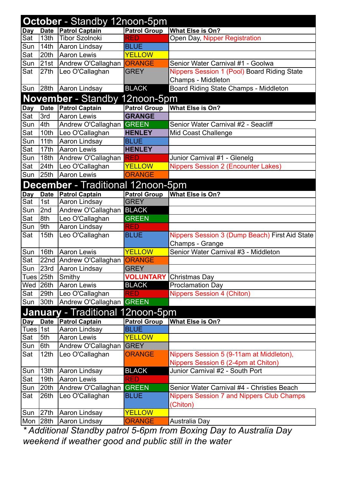|                                          | <b>October</b> - Standby 12noon-5pm |                                         |                     |                                                  |  |  |  |
|------------------------------------------|-------------------------------------|-----------------------------------------|---------------------|--------------------------------------------------|--|--|--|
| <b>Day</b>                               |                                     | Date Patrol Captain                     | <b>Patrol Group</b> | What Else is On?                                 |  |  |  |
| Sat                                      | 13th                                | Tibor Szolnoki                          | <b>RED</b>          | Open Day, Nipper Registration                    |  |  |  |
| Sun                                      | 14th                                | Aaron Lindsay                           | <b>BLUE</b>         |                                                  |  |  |  |
| Sat                                      | 20th                                | Aaron Lewis                             | <b>YELLOW</b>       |                                                  |  |  |  |
| Sun                                      | 21st                                | Andrew O'Callaghan                      | <b>ORANGE</b>       | Senior Water Carnival #1 - Goolwa                |  |  |  |
| Sat                                      | 27th                                | Leo O'Callaghan                         | <b>GREY</b>         | Nippers Session 1 (Pool) Board Riding State      |  |  |  |
|                                          |                                     |                                         |                     | Champs - Middleton                               |  |  |  |
| Sun                                      |                                     | 28th Aaron Lindsay                      | <b>BLACK</b>        | Board Riding State Champs - Middleton            |  |  |  |
|                                          |                                     | <b>November</b> - Standby 12noon-5pm    |                     |                                                  |  |  |  |
| <b>Day</b>                               | <b>Date</b>                         | <b>Patrol Captain</b>                   | <b>Patrol Group</b> | <b>What Else is On?</b>                          |  |  |  |
| Sat                                      | 3rd                                 | <b>Aaron Lewis</b>                      | <b>GRANGE</b>       |                                                  |  |  |  |
| Sun                                      | 4th                                 | Andrew O'Callaghan GREEN                |                     | Senior Water Carnival #2 - Seacliff              |  |  |  |
| Sat                                      | 10th                                | Leo O'Callaghan                         | <b>HENLEY</b>       | Mid Coast Challenge                              |  |  |  |
| Sun                                      | 11th                                | Aaron Lindsay                           | <b>BLUE</b>         |                                                  |  |  |  |
| Sat                                      | 17th                                | <b>Aaron Lewis</b>                      | <b>HENLEY</b>       |                                                  |  |  |  |
| Sun                                      | 18th                                | Andrew O'Callaghan RED                  |                     | Junior Carnival #1 - Glenelg                     |  |  |  |
| Sat                                      | 24th                                | Leo O'Callaghan                         | <b>YELLOW</b>       | <b>Nippers Session 2 (Encounter Lakes)</b>       |  |  |  |
| Sun                                      | 25th                                | <b>Aaron Lewis</b>                      | <b>ORANGE</b>       |                                                  |  |  |  |
| <b>December</b> - Traditional 12noon-5pm |                                     |                                         |                     |                                                  |  |  |  |
| Day                                      | <b>Date</b>                         | <b>Patrol Captain</b>                   | <b>Patrol Group</b> | What Else is On?                                 |  |  |  |
| Sat                                      | 1st                                 | Aaron Lindsay                           | <b>GREY</b>         |                                                  |  |  |  |
| Sun                                      | 2nd                                 | Andrew O'Callaghan BLACK                |                     |                                                  |  |  |  |
| Sat                                      | 8th                                 | Leo O'Callaghan                         | <b>GREEN</b>        |                                                  |  |  |  |
| Sun                                      | 9th                                 | Aaron Lindsay                           | <b>RED</b>          |                                                  |  |  |  |
| Sat                                      | 15 <sub>th</sub>                    | Leo O'Callaghan                         | <b>BLUE</b>         | Nippers Session 3 (Dump Beach) First Aid State   |  |  |  |
|                                          |                                     |                                         |                     | Champs - Grange                                  |  |  |  |
| Sun                                      | 16th                                | <b>Aaron Lewis</b>                      | <b>YELLOW</b>       | Senior Water Carnival #3 - Middleton             |  |  |  |
| Sat                                      |                                     | 22nd Andrew O'Callaghan <b>ORANGE</b>   |                     |                                                  |  |  |  |
| Sun                                      | 23rd                                | Aaron Lindsay                           | <b>GREY</b>         |                                                  |  |  |  |
|                                          | Tues 25th                           | Smithy                                  |                     | <b>VOLUNTARY</b> Christmas Day                   |  |  |  |
| Wed                                      | 26th                                | <b>Aaron Lewis</b>                      | <b>BLACK</b>        | <b>Proclamation Day</b>                          |  |  |  |
| Sat                                      | 29th                                | Leo O'Callaghan                         | <b>RED</b>          | <b>Nippers Session 4 (Chiton)</b>                |  |  |  |
| Sun                                      | 30 <sub>th</sub>                    | Andrew O'Callaghan GREEN                |                     |                                                  |  |  |  |
|                                          |                                     | <b>January</b> - Traditional 12noon-5pm |                     |                                                  |  |  |  |
| <b>Day</b>                               | <b>Date</b>                         | <b>Patrol Captain</b>                   | <b>Patrol Group</b> | What Else is On?                                 |  |  |  |
| Tues $ 1st $                             |                                     | Aaron Lindsay                           | <b>BLUE</b>         |                                                  |  |  |  |
| Sat                                      | 5th                                 | <b>Aaron Lewis</b>                      | <b>YELLOW</b>       |                                                  |  |  |  |
| Sun                                      | 6th                                 | Andrew O'Callaghan                      | <b>GREY</b>         |                                                  |  |  |  |
| Sat                                      | 12 <sub>th</sub>                    | Leo O'Callaghan                         | <b>ORANGE</b>       | Nippers Session 5 (9-11am at Middleton),         |  |  |  |
|                                          |                                     |                                         |                     | Nippers Session 6 (2-4pm at Chiton)              |  |  |  |
| Sun                                      | 13 <sub>th</sub>                    | Aaron Lindsay                           | <b>BLACK</b>        | Junior Carnival #2 - South Port                  |  |  |  |
| Sat                                      | 19th                                | <b>Aaron Lewis</b>                      | <b>RED</b>          |                                                  |  |  |  |
| Sun                                      | 20th                                | Andrew O'Callaghan                      | <b>GREEN</b>        | Senior Water Carnival #4 - Christies Beach       |  |  |  |
| Sat                                      | 26th                                | Leo O'Callaghan                         | <b>BLUE</b>         | <b>Nippers Session 7 and Nippers Club Champs</b> |  |  |  |
|                                          |                                     |                                         |                     | (Chiton)                                         |  |  |  |
| Sun                                      | 27th                                | Aaron Lindsay                           | <b>YELLOW</b>       |                                                  |  |  |  |
| Mon                                      | 28th                                | Aaron Lindsay                           | <b>ORANGE</b>       | Australia Day                                    |  |  |  |

*\* Additional Standby patrol 5-6pm from Boxing Day to Australia Day weekend if weather good and public still in the water*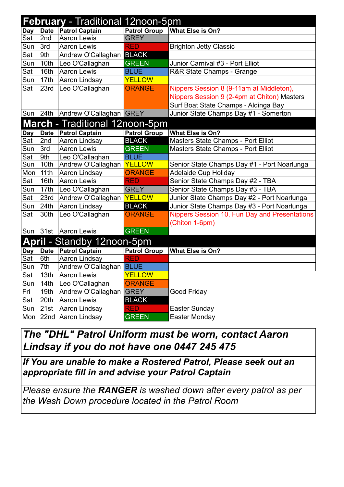| <b>February</b> - Traditional 12noon-5pm |                  |                              |                     |                                               |  |  |
|------------------------------------------|------------------|------------------------------|---------------------|-----------------------------------------------|--|--|
| <b>Day</b>                               | <b>Date</b>      | <b>Patrol Captain</b>        | <b>Patrol Group</b> | What Else is On?                              |  |  |
| Sat                                      | 2nd              | <b>Aaron Lewis</b>           | <b>GREY</b>         |                                               |  |  |
| Sun                                      | 3rd              | <b>Aaron Lewis</b>           | <b>RED</b>          | <b>Brighton Jetty Classic</b>                 |  |  |
| Sat                                      | 9th              | Andrew O'Callaghan           | <b>BLACK</b>        |                                               |  |  |
| Sun                                      | 10th             | Leo O'Callaghan              | <b>GREEN</b>        | Junior Carnival #3 - Port Elliot              |  |  |
| Sat                                      | 16th             | <b>Aaron Lewis</b>           | <b>BLUE</b>         | R&R State Champs - Grange                     |  |  |
| Sun                                      | 17th             | Aaron Lindsay                | <b>YELLOW</b>       |                                               |  |  |
| Sat                                      | 23rd             | Leo O'Callaghan              | <b>ORANGE</b>       | Nippers Session 8 (9-11am at Middleton),      |  |  |
|                                          |                  |                              |                     | Nippers Session 9 (2-4pm at Chiton) Masters   |  |  |
|                                          |                  |                              |                     | Surf Boat State Champs - Aldinga Bay          |  |  |
| Sun                                      |                  | 24th Andrew O'Callaghan GREY |                     | Junior State Champs Day #1 - Somerton         |  |  |
| March - Traditional 12noon-5pm           |                  |                              |                     |                                               |  |  |
| <b>Day</b>                               | <b>Date</b>      | <b>Patrol Captain</b>        | <b>Patrol Group</b> | What Else is On?                              |  |  |
| Sat                                      | 2nd              | Aaron Lindsay                | <b>BLACK</b>        | Masters State Champs - Port Elliot            |  |  |
| Sun                                      | 3rd              | <b>Aaron Lewis</b>           | <b>GREEN</b>        | Masters State Champs - Port Elliot            |  |  |
| Sat                                      | 9th              | Leo O'Callaghan              | <b>BLUE</b>         |                                               |  |  |
| Sun                                      | 10th             | Andrew O'Callaghan           | <b>YELLOW</b>       | Senior State Champs Day #1 - Port Noarlunga   |  |  |
| Mon                                      | 11th             | Aaron Lindsay                | <b>ORANGE</b>       | <b>Adelaide Cup Holiday</b>                   |  |  |
| Sat                                      | 16th             | <b>Aaron Lewis</b>           | <b>RED</b>          | Senior State Champs Day #2 - TBA              |  |  |
| Sun                                      | 17th             | Leo O'Callaghan              | <b>GREY</b>         | Senior State Champs Day #3 - TBA              |  |  |
| Sat                                      | 23rd             | Andrew O'Callaghan YELLOW    |                     | Junior State Champs Day #2 - Port Noarlunga   |  |  |
| Sun                                      | 24th             | Aaron Lindsay                | <b>BLACK</b>        | Junior State Champs Day #3 - Port Noarlunga   |  |  |
| Sat                                      | 30th             | Leo O'Callaghan              | <b>ORANGE</b>       | Nippers Session 10, Fun Day and Presentations |  |  |
|                                          |                  |                              |                     | (Chiton 1-6pm)                                |  |  |
| Sun                                      | 31st             | Aaron Lewis                  | <b>GREEN</b>        |                                               |  |  |
| <b>April</b> - Standby 12noon-5pm        |                  |                              |                     |                                               |  |  |
| Day                                      | <b>Date</b>      | <b>Patrol Captain</b>        | <b>Patrol Group</b> | What Else is On?                              |  |  |
| Sat                                      | 6th              | Aaron Lindsay                | <b>RED</b>          |                                               |  |  |
| Sun                                      | 7th              | Andrew O'Callaghan BLUE      |                     |                                               |  |  |
| Sat                                      | 13th             | <b>Aaron Lewis</b>           | <b>YELLOW</b>       |                                               |  |  |
| Sun                                      | 14 <sub>th</sub> | Leo O'Callaghan              | <b>ORANGE</b>       |                                               |  |  |
| Fri                                      | 19th             | Andrew O'Callaghan           | <b>GREY</b>         | Good Friday                                   |  |  |
| Sat                                      | 20th             | <b>Aaron Lewis</b>           | <b>BLACK</b>        |                                               |  |  |
| Sun                                      |                  | 21st Aaron Lindsay           | <b>RED</b>          | <b>Easter Sunday</b>                          |  |  |
|                                          |                  | Mon 22nd Aaron Lindsay       | <b>GREEN</b>        | Easter Monday                                 |  |  |

## *The "DHL" Patrol Uniform must be worn, contact Aaron Lindsay if you do not have one 0447 245 475*

*If You are unable to make a Rostered Patrol, Please seek out an appropriate fill in and advise your Patrol Captain*

*Please ensure the RANGER is washed down after every patrol as per the Wash Down procedure located in the Patrol Room*